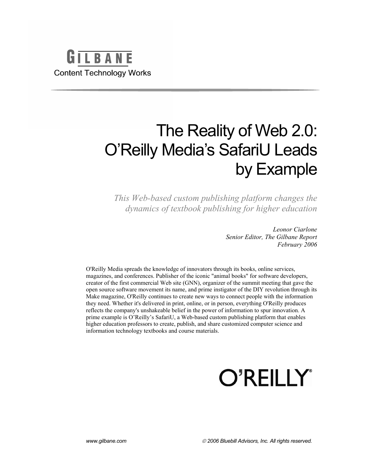

# The Reality of Web 2.0: O'Reilly Media's SafariU Leads by Example

*This Web-based custom publishing platform changes the dynamics of textbook publishing for higher education* 

> *Leonor Ciarlone Senior Editor, The Gilbane Report February 2006*

O'Reilly Media spreads the knowledge of innovators through its books, online services, magazines, and conferences. Publisher of the iconic "animal books" for software developers, creator of the first commercial Web site (GNN), organizer of the summit meeting that gave the open source software movement its name, and prime instigator of the DIY revolution through its Make magazine, O'Reilly continues to create new ways to connect people with the information they need. Whether it's delivered in print, online, or in person, everything O'Reilly produces reflects the company's unshakeable belief in the power of information to spur innovation. A prime example is O'Reilly's SafariU, a Web-based custom publishing platform that enables higher education professors to create, publish, and share customized computer science and information technology textbooks and course materials.



*www.gilbane.com* © *2006 Bluebill Advisors, Inc. All rights reserved.*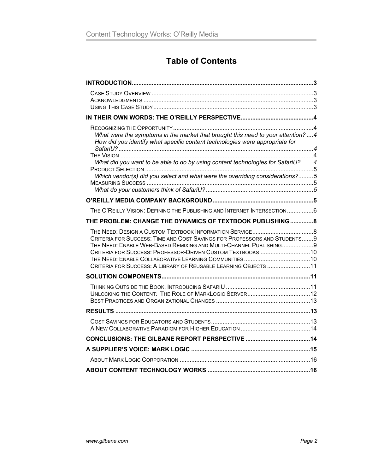# **Table of Contents**

| What were the symptoms in the market that brought this need to your attention?  4<br>How did you identify what specific content technologies were appropriate for                                                                                                               |  |
|---------------------------------------------------------------------------------------------------------------------------------------------------------------------------------------------------------------------------------------------------------------------------------|--|
| What did you want to be able to do by using content technologies for SafariU? 4                                                                                                                                                                                                 |  |
| Which vendor(s) did you select and what were the overriding considerations?5                                                                                                                                                                                                    |  |
|                                                                                                                                                                                                                                                                                 |  |
|                                                                                                                                                                                                                                                                                 |  |
| THE O'REILLY VISION: DEFINING THE PUBLISHING AND INTERNET INTERSECTION6                                                                                                                                                                                                         |  |
| THE PROBLEM: CHANGE THE DYNAMICS OF TEXTBOOK PUBLISHING 8                                                                                                                                                                                                                       |  |
| CRITERIA FOR SUCCESS: TIME AND COST SAVINGS FOR PROFESSORS AND STUDENTS9<br>THE NEED: ENABLE WEB-BASED REMIXING AND MULTI-CHANNEL PUBLISHING 9<br>CRITERIA FOR SUCCESS: PROFESSOR-DRIVEN CUSTOM TEXTBOOKS 10<br>CRITERIA FOR SUCCESS: A LIBRARY OF REUSABLE LEARNING OBJECTS 11 |  |
|                                                                                                                                                                                                                                                                                 |  |
|                                                                                                                                                                                                                                                                                 |  |
|                                                                                                                                                                                                                                                                                 |  |
|                                                                                                                                                                                                                                                                                 |  |
|                                                                                                                                                                                                                                                                                 |  |
|                                                                                                                                                                                                                                                                                 |  |
|                                                                                                                                                                                                                                                                                 |  |
|                                                                                                                                                                                                                                                                                 |  |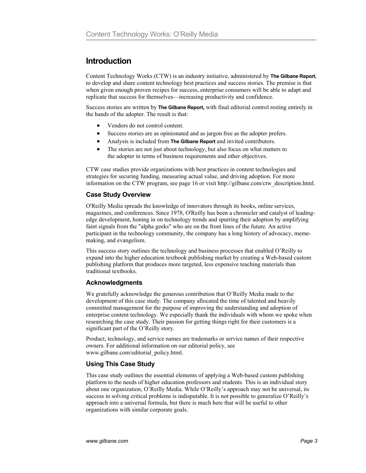## **Introduction**

Content Technology Works (CTW) is an industry initiative, administered by **The Gilbane Report***,* to develop and share content technology best practices and success stories. The premise is that when given enough proven recipes for success, enterprise consumers will be able to adapt and replicate that success for themselves—increasing productivity and confidence.

Success stories are written by **The Gilbane Report,** with final editorial control resting entirely in the hands of the adopter. The result is that:

- Vendors do not control content.
- Success stories are as opinionated and as jargon free as the adopter prefers.
- Analysis is included from **The Gilbane Report** and invited contributors.
- The stories are not just about technology, but also focus on what matters to the adopter in terms of business requirements and other objectives.

CTW case studies provide organizations with best practices in content technologies and strategies for securing funding, measuring actual value, and driving adoption. For more information on the CTW program, see page 16 or visit http://gilbane.com/ctw\_description.html.

#### **Case Study Overview**

O'Reilly Media spreads the knowledge of innovators through its books, online services, magazines, and conferences. Since 1978, O'Reilly has been a chronicler and catalyst of leadingedge development, honing in on technology trends and spurring their adoption by amplifying faint signals from the "alpha geeks" who are on the front lines of the future. An active participant in the technology community, the company has a long history of advocacy, mememaking, and evangelism.

This success story outlines the technology and business processes that enabled O'Reilly to expand into the higher education textbook publishing market by creating a Web-based custom publishing platform that produces more targeted, less expensive teaching materials than traditional textbooks.

## **Acknowledgments**

We gratefully acknowledge the generous contribution that O'Reilly Media made to the development of this case study. The company allocated the time of talented and heavily committed management for the purpose of improving the understanding and adoption of enterprise content technology. We especially thank the individuals with whom we spoke when researching the case study. Their passion for getting things right for their customers is a significant part of the O'Reilly story.

Product, technology, and service names are trademarks or service names of their respective owners. For additional information on our editorial policy, see www.gilbane.com/editorial\_policy.html.

## **Using This Case Study**

This case study outlines the essential elements of applying a Web-based custom publishing platform to the needs of higher education professors and students. This is an individual story about one organization, O'Reilly Media. While O'Reilly's approach may not be universal, its success in solving critical problems is indisputable. It is not possible to generalize O'Reilly's approach into a universal formula, but there is much here that will be useful to other organizations with similar corporate goals.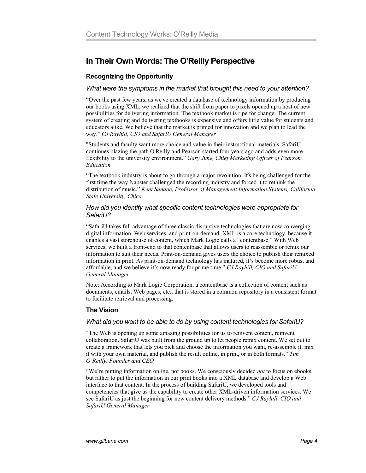# **In Their Own Words: The O'Reilly Perspective**

## **Recognizing the Opportunity**

#### *What were the symptoms in the market that brought this need to your attention?*

"Over the past few years, as we've created a database of technology information by producing our books using XML, we realized that the shift from paper to pixels opened up a host of new possibilities for delivering information. The textbook market is ripe for change. The current system of creating and delivering textbooks is expensive and offers little value for students and educators alike. We believe that the market is primed for innovation and we plan to lead the way." *CJ Rayhill, CIO and SafariU General Manager*

"Students and faculty want more choice and value in their instructional materials. SafariU continues blazing the path O'Reilly and Pearson started four years ago and adds even more flexibility to the university environment." *Gary June, Chief Marketing Officer of Pearson Education*

"The textbook industry is about to go through a major revolution. It's being challenged for the first time the way Napster challenged the recording industry and forced it to rethink the distribution of music." *Kent Sandoe, Professor of Management Information Systems, California State University, Chico*

#### *How did you identify what specific content technologies were appropriate for SafariU?*

"SafariU takes full advantage of three classic disruptive technologies that are now converging: digital information, Web services, and print-on-demand. XML is a core technology, because it enables a vast storehouse of content, which Mark Logic calls a "contentbase." With Web services, we built a front-end to that contentbase that allows users to reassemble or remix our information to suit their needs. Print-on-demand gives users the choice to publish their remixed information in print. As print-on-demand technology has matured, it's become more robust and affordable, and we believe it's now ready for prime time." *CJ Rayhill, CIO and SafariU General Manager*

Note: According to Mark Logic Corporation, a contentbase is a collection of content such as documents, emails, Web pages, etc., that is stored in a common repository in a consistent format to facilitate retrieval and processing.

## **The Vision**

#### *What did you want to be able to do by using content technologies for SafariU?*

"The Web is opening up some amazing possibilities for us to reinvent content, reinvent collaboration. SafariU was built from the ground up to let people remix content. We set out to create a framework that lets you pick and choose the information you want, re-assemble it, mix it with your own material, and publish the result online, in print, or in both formats." *Tim O'Reilly, Founder and CEO* 

"We're putting information online, not books. We consciously decided *not* to focus on ebooks, but rather to put the information in our print books into a XML database and develop a Web interface to that content. In the process of building SafariU, we developed tools and competencies that give us the capability to create other XML-driven information services. We see SafariU as just the beginning for new content delivery methods." *CJ Rayhill, CIO and SafariU General Manager*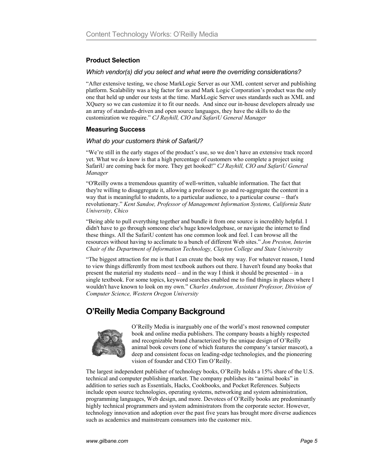## **Product Selection**

#### *Which vendor(s) did you select and what were the overriding considerations?*

"After extensive testing, we chose MarkLogic Server as our XML content server and publishing platform. Scalability was a big factor for us and Mark Logic Corporation's product was the only one that held up under our tests at the time. MarkLogic Server uses standards such as XML and XQuery so we can customize it to fit our needs. And since our in-house developers already use an array of standards-driven and open source languages, they have the skills to do the customization we require." *CJ Rayhill, CIO and SafariU General Manager*

#### **Measuring Success**

#### *What do your customers think of SafariU?*

"We're still in the early stages of the product's use, so we don't have an extensive track record yet. What we *do* know is that a high percentage of customers who complete a project using SafariU are coming back for more. They get hooked!" *CJ Rayhill, CIO and SafariU General Manager*

"O'Reilly owns a tremendous quantity of well-written, valuable information. The fact that they're willing to disaggregate it, allowing a professor to go and re-aggregate the content in a way that is meaningful to students, to a particular audience, to a particular course – that's revolutionary." *Kent Sandoe, Professor of Management Information Systems, California State University, Chico* 

"Being able to pull everything together and bundle it from one source is incredibly helpful. I didn't have to go through someone else's huge knowledgebase, or navigate the internet to find these things. All the SafariU content has one common look and feel. I can browse all the resources without having to acclimate to a bunch of different Web sites." *Jon Preston, Interim Chair of the Department of Information Technology, Clayton College and State University* 

"The biggest attraction for me is that I can create the book my way. For whatever reason, I tend to view things differently from most textbook authors out there. I haven't found any books that present the material my students need – and in the way I think it should be presented – in a single textbook. For some topics, keyword searches enabled me to find things in places where I wouldn't have known to look on my own." *Charles Anderson, Assistant Professor, Division of Computer Science, Western Oregon University*

# **O'Reilly Media Company Background**



O'Reilly Media is inarguably one of the world's most renowned computer book and online media publishers. The company boasts a highly respected and recognizable brand characterized by the unique design of O'Reilly animal book covers (one of which features the company's tarsier mascot), a deep and consistent focus on leading-edge technologies, and the pioneering vision of founder and CEO Tim O'Reilly.

The largest independent publisher of technology books, O'Reilly holds a 15% share of the U.S. technical and computer publishing market. The company publishes its "animal books" in addition to series such as Essentials, Hacks, Cookbooks, and Pocket References. Subjects include open source technologies, operating systems, networking and system administration, programming languages, Web design, and more. Devotees of O'Reilly books are predominantly highly technical programmers and system administrators from the corporate sector. However, technology innovation and adoption over the past five years has brought more diverse audiences such as academics and mainstream consumers into the customer mix.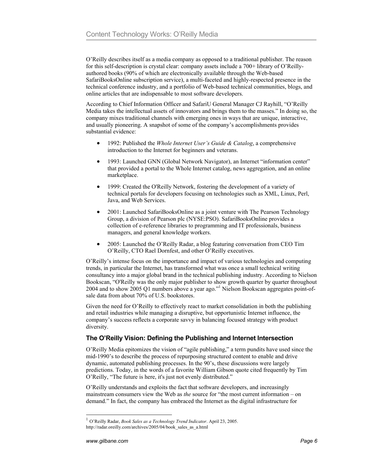O'Reilly describes itself as a media company as opposed to a traditional publisher. The reason for this self-description is crystal clear: company assets include a 700+ library of O'Reillyauthored books (90% of which are electronically available through the Web-based SafariBooksOnline subscription service), a multi-faceted and highly-respected presence in the technical conference industry, and a portfolio of Web-based technical communities, blogs, and online articles that are indispensable to most software developers.

According to Chief Information Officer and SafariU General Manager CJ Rayhill, "O'Reilly Media takes the intellectual assets of innovators and brings them to the masses." In doing so, the company mixes traditional channels with emerging ones in ways that are unique, interactive, and usually pioneering. A snapshot of some of the company's accomplishments provides substantial evidence:

- 1992: Published the *Whole Internet User's Guide & Catalog*, a comprehensive introduction to the Internet for beginners and veterans.
- 1993: Launched GNN (Global Network Navigator), an Internet "information center" that provided a portal to the Whole Internet catalog, news aggregation, and an online marketplace.
- 1999: Created the O'Reilly Network, fostering the development of a variety of technical portals for developers focusing on technologies such as XML, Linux, Perl, Java, and Web Services.
- 2001: Launched SafariBooksOnline as a joint venture with The Pearson Technology Group, a division of Pearson plc (NYSE:PSO). SafariBooksOnline provides a collection of e-reference libraries to programming and IT professionals, business managers, and general knowledge workers.
- 2005: Launched the O'Reilly Radar, a blog featuring conversation from CEO Tim O'Reilly, CTO Rael Dornfest, and other O'Reilly executives.

O'Reilly's intense focus on the importance and impact of various technologies and computing trends, in particular the Internet, has transformed what was once a small technical writing consultancy into a major global brand in the technical publishing industry. According to Nielson Bookscan, "O'Reilly was the only major publisher to show growth quarter by quarter throughout 2004 and to show 2005 Q1 numbers above a year ago."1 Nielson Bookscan aggregates point-ofsale data from about 70% of U.S. bookstores.

Given the need for O'Reilly to effectively react to market consolidation in both the publishing and retail industries while managing a disruptive, but opportunistic Internet influence, the company's success reflects a corporate savvy in balancing focused strategy with product diversity.

#### **The O'Reilly Vision: Defining the Publishing and Internet Intersection**

O'Reilly Media epitomizes the vision of "agile publishing," a term pundits have used since the mid-1990's to describe the process of repurposing structured content to enable and drive dynamic, automated publishing processes. In the 90's, these discussions were largely predictions. Today, in the words of a favorite William Gibson quote cited frequently by Tim O'Reilly, "The future is here, it's just not evenly distributed."

O'Reilly understands and exploits the fact that software developers, and increasingly mainstream consumers view the Web as *the* source for "the most current information – on demand." In fact, the company has embraced the Internet as the digital infrastructure for

<sup>1</sup> O'Reilly Radar, *Book Sales as a Technology Trend Indicator*. April 23, 2005. http://radar.oreilly.com/archives/2005/04/book\_sales\_as\_a.html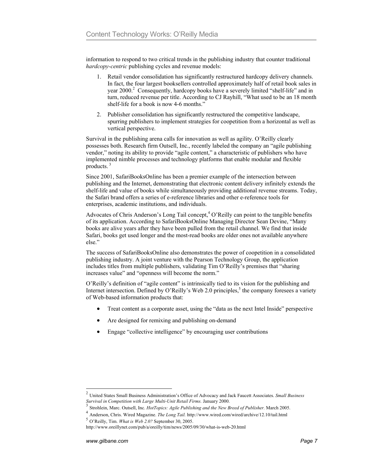information to respond to two critical trends in the publishing industry that counter traditional *hardcopy-centric* publishing cycles and revenue models:

- 1. Retail vendor consolidation has significantly restructured hardcopy delivery channels. In fact, the four largest booksellers controlled approximately half of retail book sales in year 2000.<sup>2</sup> Consequently, hardcopy books have a severely limited "shelf-life" and in turn, reduced revenue per title. According to CJ Rayhill, "What used to be an 18 month shelf-life for a book is now 4-6 months."
- 2. Publisher consolidation has significantly restructured the competitive landscape, spurring publishers to implement strategies for coopetition from a horizontal as well as vertical perspective.

Survival in the publishing arena calls for innovation as well as agility. O'Reilly clearly possesses both. Research firm Outsell, Inc., recently labeled the company an "agile publishing vendor," noting its ability to provide "agile content," a characteristic of publishers who have implemented nimble processes and technology platforms that enable modular and flexible products. $3$ 

Since 2001, SafariBooksOnline has been a premier example of the intersection between publishing and the Internet, demonstrating that electronic content delivery infinitely extends the shelf-life and value of books while simultaneously providing additional revenue streams. Today, the Safari brand offers a series of e-reference libraries and other e-reference tools for enterprises, academic institutions, and individuals.

Advocates of Chris Anderson's Long Tail concept, $4$  O'Reilly can point to the tangible benefits of its application. According to SafariBooksOnline Managing Director Sean Devine, "Many books are alive years after they have been pulled from the retail channel. We find that inside Safari, books get used longer and the most-read books are older ones not available anywhere else."

The success of SafariBooksOnline also demonstrates the power of coopetition in a consolidated publishing industry. A joint venture with the Pearson Technology Group, the application includes titles from multiple publishers, validating Tim O'Reilly's premises that "sharing increases value" and "openness will become the norm."

O'Reilly's definition of "agile content" is intrinsically tied to its vision for the publishing and Internet intersection. Defined by O'Reilly's Web 2.0 principles,<sup>5</sup> the company foresees a variety of Web-based information products that:

- Treat content as a corporate asset, using the "data as the next Intel Inside" perspective
- Are designed for remixing and publishing on-demand
- Engage "collective intelligence" by encouraging user contributions

<sup>2</sup> United States Small Business Administration's Office of Advocacy and Jack Faucett Associates. *Small Business* 

*Survival in Competition with Large Multi-Unit Retail Firms.* January 2000. <sup>3</sup> Strohlein, Marc. Outsell, Inc. *HotTopics: Agile Publishing and the New Breed of Publisher.* March 2005.

<sup>4</sup> Anderson, Chris. Wired Magazine. *The Long Tail.* http://www.wired.com/wired/archive/12.10/tail.html

<sup>5</sup> O'Reilly, Tim. *What is Web 2.0?* September 30, 2005.

http://www.oreillynet.com/pub/a/oreilly/tim/news/2005/09/30/what-is-web-20.html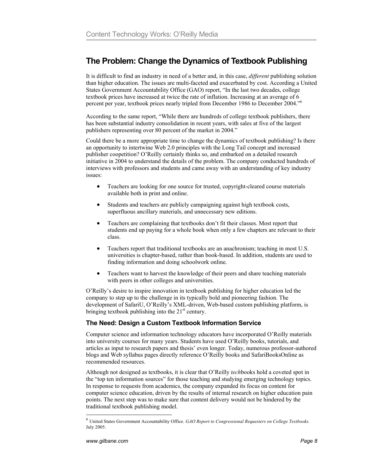# **The Problem: Change the Dynamics of Textbook Publishing**

It is difficult to find an industry in need of a better and, in this case, *different* publishing solution than higher education. The issues are multi-faceted and exacerbated by cost. According a United States Government Accountability Office (GAO) report, "In the last two decades, college textbook prices have increased at twice the rate of inflation. Increasing at an average of 6 percent per year, textbook prices nearly tripled from December 1986 to December 2004."6

According to the same report, "While there are hundreds of college textbook publishers, there has been substantial industry consolidation in recent years, with sales at five of the largest publishers representing over 80 percent of the market in 2004."

Could there be a more appropriate time to change the dynamics of textbook publishing? Is there an opportunity to intertwine Web 2.0 principles with the Long Tail concept and increased publisher coopetition? O'Reilly certainly thinks so, and embarked on a detailed research initiative in 2004 to understand the details of the problem. The company conducted hundreds of interviews with professors and students and came away with an understanding of key industry issues:

- Teachers are looking for one source for trusted, copyright-cleared course materials available both in print and online.
- Students and teachers are publicly campaigning against high textbook costs, superfluous ancillary materials, and unnecessary new editions.
- Teachers are complaining that textbooks don't fit their classes. Most report that students end up paying for a whole book when only a few chapters are relevant to their class.
- Teachers report that traditional textbooks are an anachronism; teaching in most U.S. universities is chapter-based, rather than book-based. In addition, students are used to finding information and doing schoolwork online.
- Teachers want to harvest the knowledge of their peers and share teaching materials with peers in other colleges and universities.

O'Reilly's desire to inspire innovation in textbook publishing for higher education led the company to step up to the challenge in its typically bold and pioneering fashion. The development of SafariU, O'Reilly's XML-driven, Web-based custom publishing platform, is bringing textbook publishing into the  $21<sup>st</sup>$  century.

#### **The Need: Design a Custom Textbook Information Service**

Computer science and information technology educators have incorporated O'Reilly materials into university courses for many years. Students have used O'Reilly books, tutorials, and articles as input to research papers and thesis' even longer. Today, numerous professor-authored blogs and Web syllabus pages directly reference O'Reilly books and SafariBooksOnline as recommended resources.

Although not designed as textbooks, it is clear that O'Reilly *tech*books hold a coveted spot in the "top ten information sources" for those teaching and studying emerging technology topics. In response to requests from academics, the company expanded its focus on content for computer science education, driven by the results of internal research on higher education pain points. The next step was to make sure that content delivery would not be hindered by the traditional textbook publishing model.

<sup>6</sup> United States Government Accountability Office. *GAO Report to Congressional Requesters on College Textbooks.* July 2005.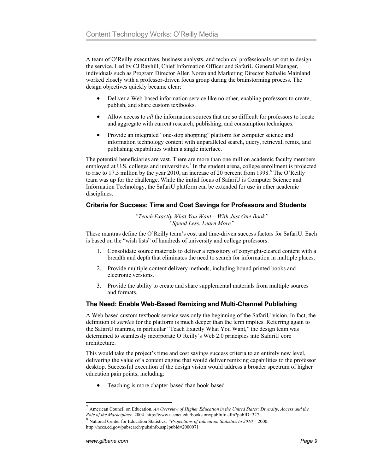A team of O'Reilly executives, business analysts, and technical professionals set out to design the service. Led by CJ Rayhill, Chief Information Officer and SafariU General Manager, individuals such as Program Director Allen Noren and Marketing Director Nathalie Mainland worked closely with a professor-driven focus group during the brainstorming process. The design objectives quickly became clear:

- Deliver a Web-based information service like no other, enabling professors to create, publish, and share custom textbooks.
- Allow access to *all* the information sources that are so difficult for professors to locate and aggregate with current research, publishing, and consumption techniques.
- Provide an integrated "one-stop shopping" platform for computer science and information technology content with unparalleled search, query, retrieval, remix, and publishing capabilities within a single interface.

The potential beneficiaries are vast. There are more than one million academic faculty members employed at U.S. colleges and universities.<sup>7</sup> In the student arena, college enrollment is projected to rise to 17.5 million by the year 2010, an increase of 20 percent from 1998. $8$  The O'Reilly team was up for the challenge. While the initial focus of SafariU is Computer Science and Information Technology, the SafariU platform can be extended for use in other academic disciplines.

#### **Criteria for Success: Time and Cost Savings for Professors and Students**

*"Teach Exactly What You Want – With Just One Book" "Spend Less. Learn More"* 

These mantras define the O'Reilly team's cost and time-driven success factors for SafariU. Each is based on the "wish lists" of hundreds of university and college professors:

- 1. Consolidate source materials to deliver a repository of copyright-cleared content with a breadth and depth that eliminates the need to search for information in multiple places.
- 2. Provide multiple content delivery methods, including bound printed books and electronic versions.
- 3. Provide the ability to create and share supplemental materials from multiple sources and formats.

#### **The Need: Enable Web-Based Remixing and Multi-Channel Publishing**

A Web-based custom textbook service was only the beginning of the SafariU vision. In fact, the definition of *service* for the platform is much deeper than the term implies. Referring again to the SafariU mantras, in particular "Teach Exactly What You Want," the design team was determined to seamlessly incorporate O'Reilly's Web 2.0 principles into SafariU core architecture.

This would take the project's time and cost savings success criteria to an entirely new level, delivering the value of a content engine that would deliver remixing capabilities to the professor desktop. Successful execution of the design vision would address a broader spectrum of higher education pain points, including:

• Teaching is more chapter-based than book-based

<sup>7</sup> American Council on Education. *An Overview of Higher Education in the United States: Diversity, Access and the* 

*Role of the Marketplace.* 2004. http://www.acenet.edu/bookstore/pubInfo.cfm?pubID=327 8 National Center for Education Statistics. *"Projections of Education Statistics to 2010,"* 2000. http://nces.ed.gov/pubsearch/pubsinfo.asp?pubid=2000071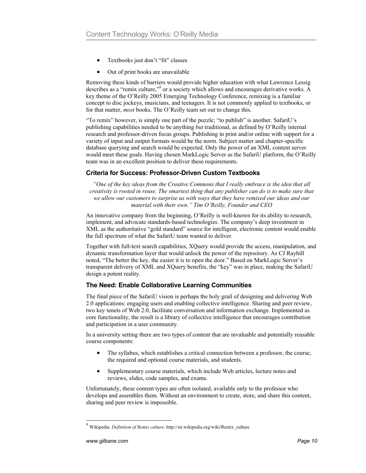- Textbooks just don't "fit" classes
- Out of print books are unavailable

Removing these kinds of barriers would provide higher education with what Lawrence Lessig describes as a "remix culture,"<sup>9</sup> or a society which allows and encourages derivative works. A key theme of the O'Reilly 2005 Emerging Technology Conference, remixing is a familiar concept to disc jockeys, musicians, and teenagers. It is not commonly applied to textbooks, or for that matter, *most* books. The O'Reilly team set out to change this.

"To remix" however, is simply one part of the puzzle; "to publish" is another. SafariU's publishing capabilities needed to be anything *but* traditional, as defined by O'Reilly internal research and professor-driven focus groups. Publishing in print and/or online with support for a variety of input and output formats would be the norm. Subject matter and chapter-specific database querying and search would be expected. Only the power of an XML content server would meet these goals. Having chosen MarkLogic Server as the SafariU platform, the O'Reilly team was in an excellent position to deliver these requirements.

#### **Criteria for Success: Professor-Driven Custom Textbooks**

*"One of the key ideas from the Creative Commons that I really embrace is the idea that all creativity is rooted in reuse. The smartest thing that any publisher can do is to make sure that we allow our customers to surprise us with ways that they have remixed our ideas and our material with their own." Tim O'Reilly, Founder and CEO* 

An innovative company from the beginning, O'Reilly is well-known for its ability to research, implement, and advocate standards-based technologies. The company's deep investment in XML as the authoritative "gold standard" source for intelligent, electronic content would enable the full spectrum of what the SafariU team wanted to deliver.

Together with full-text search capabilities, XQuery would provide the access, manipulation, and dynamic transformation layer that would unlock the power of the repository. As CJ Rayhill noted, "The better the key, the easier it is to open the door." Based on MarkLogic Server's transparent delivery of XML and XQuery benefits, the "key" was in place, making the SafariU design a potent reality.

#### **The Need: Enable Collaborative Learning Communities**

The final piece of the SafariU vision is perhaps the holy grail of designing and delivering Web 2.0 applications: engaging users and enabling collective intelligence. Sharing and peer review, two key tenets of Web 2.0, facilitate conversation and information exchange. Implemented as core functionality, the result is a library of collective intelligence that encourages contribution and participation in a user community.

In a university setting there are two types of content that are invaluable and potentially reusable course components:

- The syllabus, which establishes a critical connection between a professor, the course, the required and optional course materials, and students.
- Supplementary course materials, which include Web articles, lecture notes and reviews, slides, code samples, and exams.

Unfortunately, these content types are often isolated, available only to the professor who develops and assembles them. Without an environment to create, store, and share this content, sharing and peer review is impossible.

<sup>9</sup> Wikipedia. *Definition of Remix culture*. http://en.wikipedia.org/wiki/Remix\_culture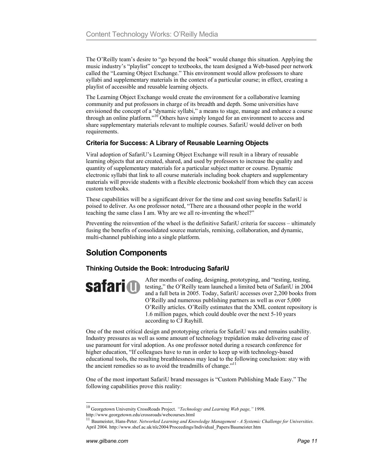The O'Reilly team's desire to "go beyond the book" would change this situation. Applying the music industry's "playlist" concept to textbooks, the team designed a Web-based peer network called the "Learning Object Exchange." This environment would allow professors to share syllabi and supplementary materials in the context of a particular course; in effect, creating a playlist of accessible and reusable learning objects.

The Learning Object Exchange would create the environment for a collaborative learning community and put professors in charge of its breadth and depth. Some universities have envisioned the concept of a "dynamic syllabi," a means to stage, manage and enhance a course through an online platform."10 Others have simply longed for an environment to access and share supplementary materials relevant to multiple courses. SafariU would deliver on both requirements.

#### **Criteria for Success: A Library of Reusable Learning Objects**

Viral adoption of SafariU's Learning Object Exchange will result in a library of reusable learning objects that are created, shared, and used by professors to increase the quality and quantity of supplementary materials for a particular subject matter or course. Dynamic electronic syllabi that link to all course materials including book chapters and supplementary materials will provide students with a flexible electronic bookshelf from which they can access custom textbooks.

These capabilities will be a significant driver for the time and cost saving benefits SafariU is poised to deliver. As one professor noted, "There are a thousand other people in the world teaching the same class I am. Why are we all re-inventing the wheel?"

Preventing the reinvention of the wheel is the definitive SafariU criteria for success – ultimately fusing the benefits of consolidated source materials, remixing, collaboration, and dynamic, multi-channel publishing into a single platform.

# **Solution Components**

## **Thinking Outside the Book: Introducing SafariU**

**safari (1)** 

After months of coding, designing, prototyping, and "testing, testing, testing," the O'Reilly team launched a limited beta of SafariU in 2004 and a full beta in 2005. Today, SafariU accesses over 2,200 books from O'Reilly and numerous publishing partners as well as over 5,000 O'Reilly articles. O'Reilly estimates that the XML content repository is 1.6 million pages, which could double over the next 5-10 years according to CJ Rayhill.

One of the most critical design and prototyping criteria for SafariU was and remains usability. Industry pressures as well as some amount of technology trepidation make delivering ease of use paramount for viral adoption. As one professor noted during a research conference for higher education, "If colleagues have to run in order to keep up with technology-based educational tools, the resulting breathlessness may lead to the following conclusion: stay with the ancient remedies so as to avoid the treadmills of change."<sup>11</sup>

One of the most important SafariU brand messages is "Custom Publishing Made Easy." The following capabilities prove this reality:

10 Georgetown University CrossRoads Project. *"Technology and Learning Web page,"* 1998.

-

http://www.georgetown.edu/crossroads/webcourses.html<br><sup>11</sup> Baumeister, Hans-Peter. *Networked Learning and Knowledge Management - A Systemic Challenge for Universities.* April 2004. http://www.shef.ac.uk/nlc2004/Proceedings/Individual\_Papers/Baumeister.htm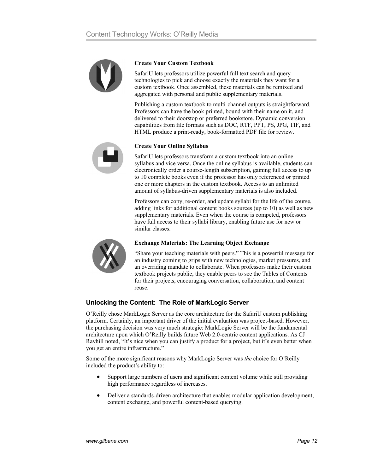

#### **Create Your Custom Textbook**

SafariU lets professors utilize powerful full text search and query technologies to pick and choose exactly the materials they want for a custom textbook. Once assembled, these materials can be remixed and aggregated with personal and public supplementary materials.

Publishing a custom textbook to multi-channel outputs is straightforward. Professors can have the book printed, bound with their name on it, and delivered to their doorstop or preferred bookstore. Dynamic conversion capabilities from file formats such as DOC, RTF, PPT, PS, JPG, TIF, and HTML produce a print-ready, book-formatted PDF file for review.



#### **Create Your Online Syllabus**

SafariU lets professors transform a custom textbook into an online syllabus and vice versa. Once the online syllabus is available, students can electronically order a course-length subscription, gaining full access to up to 10 complete books even if the professor has only referenced or printed one or more chapters in the custom textbook. Access to an unlimited amount of syllabus-driven supplementary materials is also included.

Professors can copy, re-order, and update syllabi for the life of the course, adding links for additional content books sources (up to 10) as well as new supplementary materials. Even when the course is competed, professors have full access to their syllabi library, enabling future use for new or similar classes.



#### **Exchange Materials: The Learning Object Exchange**

"Share your teaching materials with peers." This is a powerful message for an industry coming to grips with new technologies, market pressures, and an overriding mandate to collaborate. When professors make their custom textbook projects public, they enable peers to see the Tables of Contents for their projects, encouraging conversation, collaboration, and content reuse.

#### **Unlocking the Content: The Role of MarkLogic Server**

O'Reilly chose MarkLogic Server as the core architecture for the SafariU custom publishing platform. Certainly, an important driver of the initial evaluation was project-based. However, the purchasing decision was very much strategic: MarkLogic Server will be the fundamental architecture upon which O'Reilly builds future Web 2.0-centric content applications. As CJ Rayhill noted, "It's nice when you can justify a product for a project, but it's even better when you get an entire infrastructure."

Some of the more significant reasons why MarkLogic Server was *the* choice for O'Reilly included the product's ability to:

- Support large numbers of users and significant content volume while still providing high performance regardless of increases.
- Deliver a standards-driven architecture that enables modular application development, content exchange, and powerful content-based querying.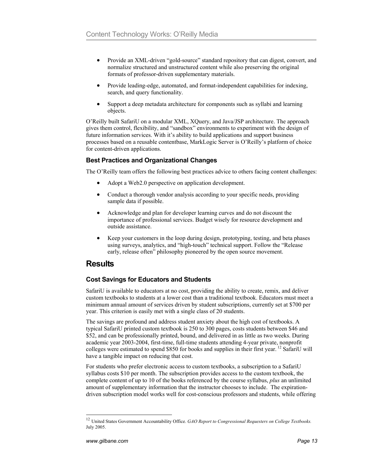- Provide an XML-driven "gold-source" standard repository that can digest, convert, and normalize structured and unstructured content while also preserving the original formats of professor-driven supplementary materials.
- Provide leading-edge, automated, and format-independent capabilities for indexing, search, and query functionality.
- Support a deep metadata architecture for components such as syllabi and learning objects.

O'Reilly built SafariU on a modular XML, XQuery, and Java/JSP architecture. The approach gives them control, flexibility, and "sandbox" environments to experiment with the design of future information services. With it's ability to build applications and support business processes based on a reusable contentbase, MarkLogic Server is O'Reilly's platform of choice for content-driven applications.

#### **Best Practices and Organizational Changes**

The O'Reilly team offers the following best practices advice to others facing content challenges:

- Adopt a Web2.0 perspective on application development.
- Conduct a thorough vendor analysis according to your specific needs, providing sample data if possible.
- Acknowledge and plan for developer learning curves and do not discount the importance of professional services. Budget wisely for resource development and outside assistance.
- Keep your customers in the loop during design, prototyping, testing, and beta phases using surveys, analytics, and "high-touch" technical support. Follow the "Release early, release often" philosophy pioneered by the open source movement.

## **Results**

## **Cost Savings for Educators and Students**

SafariU is available to educators at no cost, providing the ability to create, remix, and deliver custom textbooks to students at a lower cost than a traditional textbook. Educators must meet a minimum annual amount of services driven by student subscriptions, currently set at \$700 per year. This criterion is easily met with a single class of 20 students.

The savings are profound and address student anxiety about the high cost of textbooks. A typical SafariU printed custom textbook is 250 to 300 pages, costs students between \$46 and \$52, and can be professionally printed, bound, and delivered in as little as two weeks. During academic year 2003-2004, first-time, full-time students attending 4-year private, nonprofit colleges were estimated to spend \$850 for books and supplies in their first year. 12 SafariU will have a tangible impact on reducing that cost.

For students who prefer electronic access to custom textbooks, a subscription to a SafariU syllabus costs \$10 per month. The subscription provides access to the custom textbook, the complete content of up to 10 of the books referenced by the course syllabus, *plus* an unlimited amount of supplementary information that the instructor chooses to include. The expirationdriven subscription model works well for cost-conscious professors and students, while offering

<sup>12</sup> United States Government Accountability Office. *GAO Report to Congressional Requesters on College Textbooks.* July 2005.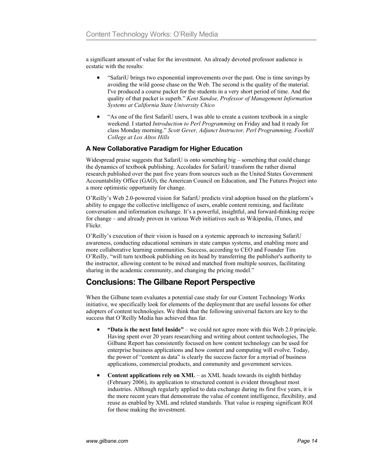a significant amount of value for the investment. An already devoted professor audience is ecstatic with the results:

- "SafariU brings two exponential improvements over the past. One is time savings by avoiding the wild goose chase on the Web. The second is the quality of the material. I've produced a course packet for the students in a very short period of time. And the quality of that packet is superb." *Kent Sandoe, Professor of Management Information Systems at California State University Chico*
- "As one of the first SafariU users, I was able to create a custom textbook in a single weekend. I started *Introduction to Perl Programming* on Friday and had it ready for class Monday morning." *Scott Gever, Adjunct Instructor, Perl Programming, Foothill College at Los Altos Hills*

#### **A New Collaborative Paradigm for Higher Education**

Widespread praise suggests that SafariU is onto something big – something that could change the dynamics of textbook publishing. Accolades for SafariU transform the rather dismal research published over the past five years from sources such as the United States Government Accountability Office (GAO), the American Council on Education, and The Futures Project into a more optimistic opportunity for change.

O'Reilly's Web 2.0-powered vision for SafariU predicts viral adoption based on the platform's ability to engage the collective intelligence of users, enable content remixing, and facilitate conversation and information exchange. It's a powerful, insightful, and forward-thinking recipe for change – and already proven in various Web initiatives such as Wikipedia, iTunes, and Flickr.

O'Reilly's execution of their vision is based on a systemic approach to increasing SafariU awareness, conducting educational seminars in state campus systems, and enabling more and more collaborative learning communities. Success, according to CEO and Founder Tim O'Reilly, "will turn textbook publishing on its head by transferring the publisher's authority to the instructor, allowing content to be mixed and matched from multiple sources, facilitating sharing in the academic community, and changing the pricing model."

## **Conclusions: The Gilbane Report Perspective**

When the Gilbane team evaluates a potential case study for our Content Technology Works initiative, we specifically look for elements of the deployment that are useful lessons for other adopters of content technologies. We think that the following universal factors are key to the success that O'Reilly Media has achieved thus far.

- **"Data is the next Intel Inside"** we could not agree more with this Web 2.0 principle. Having spent over 20 years researching and writing about content technologies, The Gilbane Report has consistently focused on how content technology can be used for enterprise business applications and how content and computing will evolve. Today, the power of "content as data" is clearly the success factor for a myriad of business applications, commercial products, and community and government services.
- **Content applications rely on XML** as XML heads towards its eighth birthday (February 2006), its application to structured content is evident throughout most industries. Although regularly applied to data exchange during its first five years, it is the more recent years that demonstrate the value of content intelligence, flexibility, and reuse as enabled by XML and related standards. That value is reaping significant ROI for those making the investment.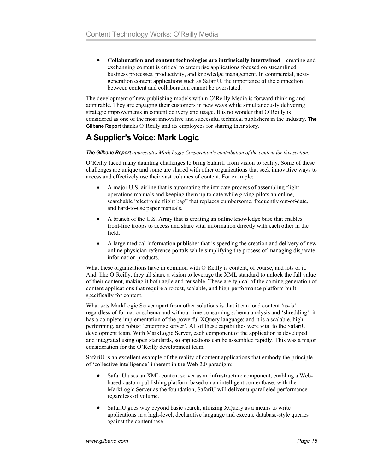• **Collaboration and content technologies are intrinsically intertwined** – creating and exchanging content is critical to enterprise applications focused on streamlined business processes, productivity, and knowledge management. In commercial, nextgeneration content applications such as SafariU, the importance of the connection between content and collaboration cannot be overstated.

The development of new publishing models within O'Reilly Media is forward-thinking and admirable. They are engaging their customers in new ways while simultaneously delivering strategic improvements in content delivery and usage. It is no wonder that O'Reilly is considered as one of the most innovative and successful technical publishers in the industry. **The Gilbane Report** thanks O'Reilly and its employees for sharing their story.

# **A Supplier's Voice: Mark Logic**

#### *The Gilbane Report appreciates Mark Logic Corporation's contribution of the content for this section.*

O'Reilly faced many daunting challenges to bring SafariU from vision to reality. Some of these challenges are unique and some are shared with other organizations that seek innovative ways to access and effectively use their vast volumes of content. For example:

- A major U.S. airline that is automating the intricate process of assembling flight operations manuals and keeping them up to date while giving pilots an online, searchable "electronic flight bag" that replaces cumbersome, frequently out-of-date, and hard-to-use paper manuals.
- A branch of the U.S. Army that is creating an online knowledge base that enables front-line troops to access and share vital information directly with each other in the field.
- A large medical information publisher that is speeding the creation and delivery of new online physician reference portals while simplifying the process of managing disparate information products.

What these organizations have in common with O'Reilly is content, of course, and lots of it. And, like O'Reilly, they all share a vision to leverage the XML standard to unlock the full value of their content, making it both agile and reusable. These are typical of the coming generation of content applications that require a robust, scalable, and high-performance platform built specifically for content.

What sets MarkLogic Server apart from other solutions is that it can load content 'as-is' regardless of format or schema and without time consuming schema analysis and 'shredding'; it has a complete implementation of the powerful XQuery language; and it is a scalable, highperforming, and robust 'enterprise server'. All of these capabilities were vital to the SafariU development team. With MarkLogic Server, each component of the application is developed and integrated using open standards, so applications can be assembled rapidly. This was a major consideration for the O'Reilly development team.

SafariU is an excellent example of the reality of content applications that embody the principle of 'collective intelligence' inherent in the Web 2.0 paradigm:

- SafariU uses an XML content server as an infrastructure component, enabling a Webbased custom publishing platform based on an intelligent contentbase; with the MarkLogic Server as the foundation, SafariU will deliver unparalleled performance regardless of volume.
- SafariU goes way beyond basic search, utilizing XQuery as a means to write applications in a high-level, declarative language and execute database-style queries against the contentbase.